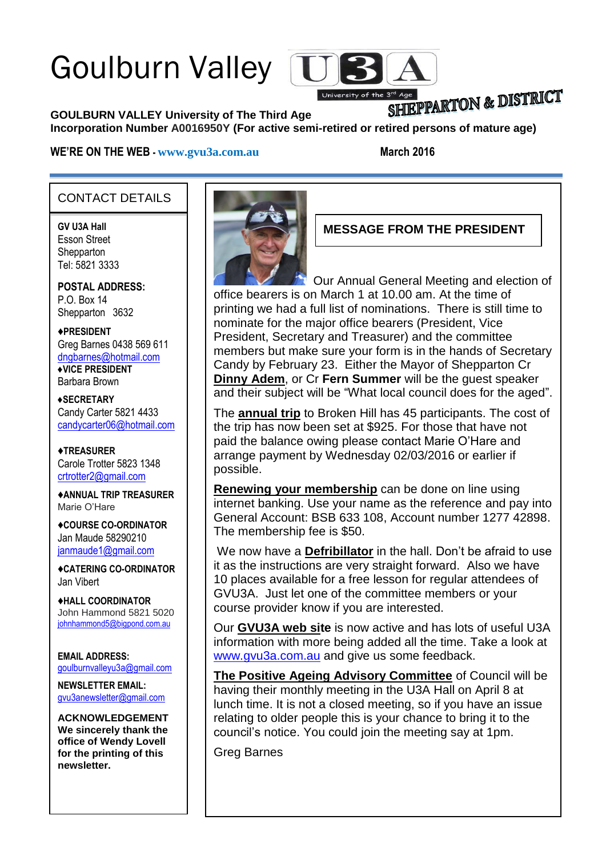# Goulburn Valley



## SHIEPPARTON & DISTRICT

**GOULBURN VALLEY University of The Third Age Incorporation Number A0016950Y (For active semi-retired or retired persons of mature age)**

#### **WE'RE ON THE WEB - [www.gvu3a.com.au](http://www.gvu3a.com.au/) March 2016**

#### CONTACT DETAILS

**GV U3A Hall** Esson Street **Shepparton** Tel: 5821 3333

**POSTAL ADDRESS:** P.O. Box 14 Shepparton 3632

♦**PRESIDENT** Greg Barnes 0438 569 611 [dngbarnes@hotmail.com](mailto:dngbarnes@hotmail.com) **♦VICE PRESIDENT** Barbara Brown

**♦SECRETARY** Candy Carter 5821 4433 [candycarter06@hotmail.com](mailto:Candycarter06@hotmail.com)

♦**TREASURER** Carole Trotter 5823 1348 crtrotter2@gmail.com

♦**ANNUAL TRIP TREASURER** Marie O'Hare

♦**COURSE CO-ORDINATOR** Jan Maude 58290210 [janmaude1@gmail.com](mailto:janmaude1@gmail.com)

♦**CATERING CO-ORDINATOR** Jan Vibert

♦**HALL COORDINATOR** John Hammond 5821 5020 [johnhammond5@bigpond.com.au](mailto:johnhammond5@bigpond.com.au)

**EMAIL ADDRESS:** [goulburnvalleyu3a@gmail.com](mailto:goulburnvalleyu3a@gmail.com)

**NEWSLETTER EMAIL:** [gvu3anewsletter@gmail.com](mailto:gvu3anewsletter@gmail.com)

**ACKNOWLEDGEMENT We sincerely thank the office of Wendy Lovell for the printing of this newsletter.**



**MESSAGE FROM THE PRESIDENT**

Our Annual General Meeting and election of office bearers is on March 1 at 10.00 am. At the time of printing we had a full list of nominations. There is still time to nominate for the major office bearers (President, Vice President, Secretary and Treasurer) and the committee members but make sure your form is in the hands of Secretary Candy by February 23. Either the Mayor of Shepparton Cr **Dinny Adem**, or Cr **Fern Summer** will be the guest speaker and their subject will be "What local council does for the aged".

The **annual trip** to Broken Hill has 45 participants. The cost of the trip has now been set at \$925. For those that have not paid the balance owing please contact Marie O'Hare and arrange payment by Wednesday 02/03/2016 or earlier if possible.

**Renewing your membership** can be done on line using internet banking. Use your name as the reference and pay into General Account: BSB 633 108, Account number 1277 42898. The membership fee is \$50.

We now have a **Defribillator** in the hall. Don't be afraid to use it as the instructions are very straight forward. Also we have 10 places available for a free lesson for regular attendees of GVU3A. Just let one of the committee members or your course provider know if you are interested.

Our **GVU3A web site** is now active and has lots of useful U3A information with more being added all the time. Take a look at [www.gvu3a.com.au](http://www.gvu3a.com.au/) and give us some feedback.

**The Positive Ageing Advisory Committee** of Council will be having their monthly meeting in the U3A Hall on April 8 at lunch time. It is not a closed meeting, so if you have an issue relating to older people this is your chance to bring it to the council's notice. You could join the meeting say at 1pm.

Greg Barnes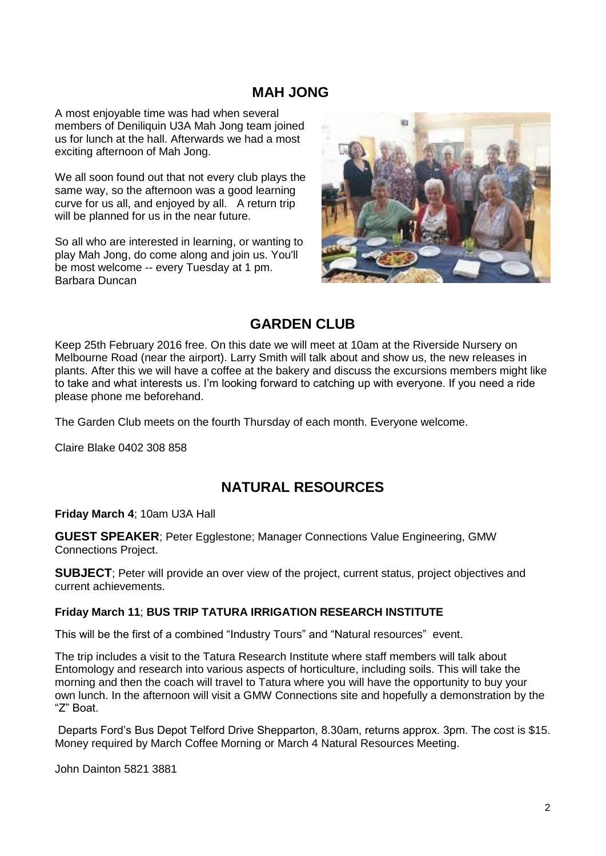#### **MAH JONG**

A most enjoyable time was had when several members of Deniliquin U3A Mah Jong team joined us for lunch at the hall. Afterwards we had a most exciting afternoon of Mah Jong.

We all soon found out that not every club plays the same way, so the afternoon was a good learning curve for us all, and enjoyed by all. A return trip will be planned for us in the near future.

So all who are interested in learning, or wanting to play Mah Jong, do come along and join us. You'll be most welcome -- every Tuesday at 1 pm. Barbara Duncan



#### **GARDEN CLUB**

Keep 25th February 2016 free. On this date we will meet at 10am at the Riverside Nursery on Melbourne Road (near the airport). Larry Smith will talk about and show us, the new releases in plants. After this we will have a coffee at the bakery and discuss the excursions members might like to take and what interests us. I'm looking forward to catching up with everyone. If you need a ride please phone me beforehand.

The Garden Club meets on the fourth Thursday of each month. Everyone welcome.

Claire Blake 0402 308 858

#### **NATURAL RESOURCES**

**Friday March 4**; 10am U3A Hall

**GUEST SPEAKER**; Peter Egglestone; Manager Connections Value Engineering, GMW Connections Project.

**SUBJECT**; Peter will provide an over view of the project, current status, project objectives and current achievements.

#### **Friday March 11**; **BUS TRIP TATURA IRRIGATION RESEARCH INSTITUTE**

This will be the first of a combined "Industry Tours" and "Natural resources" event.

The trip includes a visit to the Tatura Research Institute where staff members will talk about Entomology and research into various aspects of horticulture, including soils. This will take the morning and then the coach will travel to Tatura where you will have the opportunity to buy your own lunch. In the afternoon will visit a GMW Connections site and hopefully a demonstration by the "Z" Boat.

Departs Ford's Bus Depot Telford Drive Shepparton, 8.30am, returns approx. 3pm. The cost is \$15. Money required by March Coffee Morning or March 4 Natural Resources Meeting.

John Dainton 5821 3881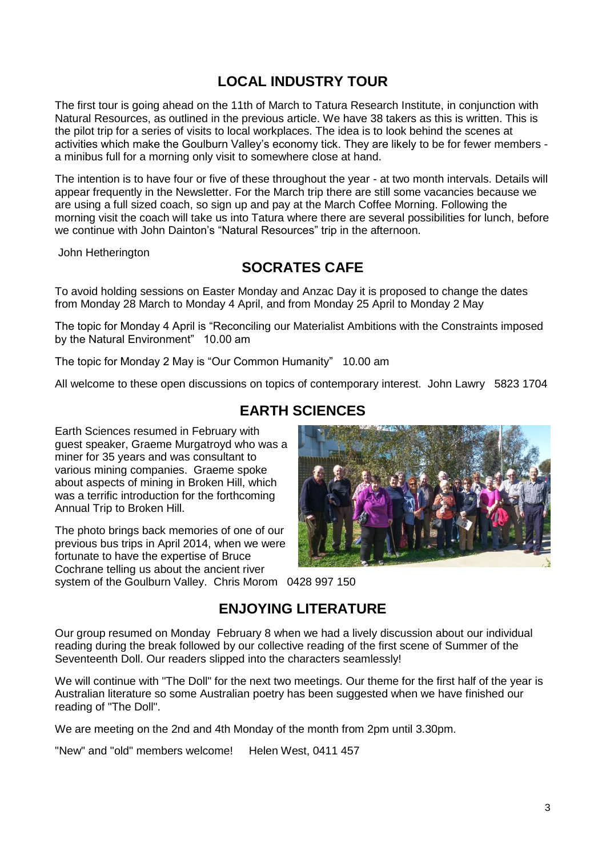## **LOCAL INDUSTRY TOUR**

The first tour is going ahead on the 11th of March to Tatura Research Institute, in conjunction with Natural Resources, as outlined in the previous article. We have 38 takers as this is written. This is the pilot trip for a series of visits to local workplaces. The idea is to look behind the scenes at activities which make the Goulburn Valley's economy tick. They are likely to be for fewer members a minibus full for a morning only visit to somewhere close at hand.

The intention is to have four or five of these throughout the year - at two month intervals. Details will appear frequently in the Newsletter. For the March trip there are still some vacancies because we are using a full sized coach, so sign up and pay at the March Coffee Morning. Following the morning visit the coach will take us into Tatura where there are several possibilities for lunch, before we continue with John Dainton's "Natural Resources" trip in the afternoon.

John Hetherington

## **SOCRATES CAFE**

To avoid holding sessions on Easter Monday and Anzac Day it is proposed to change the dates from Monday 28 March to Monday 4 April, and from Monday 25 April to Monday 2 May

The topic for Monday 4 April is "Reconciling our Materialist Ambitions with the Constraints imposed by the Natural Environment" 10.00 am

The topic for Monday 2 May is "Our Common Humanity" 10.00 am

All welcome to these open discussions on topics of contemporary interest. John Lawry 5823 1704

**EARTH SCIENCES**

Earth Sciences resumed in February with guest speaker, Graeme Murgatroyd who was a miner for 35 years and was consultant to various mining companies. Graeme spoke about aspects of mining in Broken Hill, which was a terrific introduction for the forthcoming Annual Trip to Broken Hill.

The photo brings back memories of one of our previous bus trips in April 2014, when we were fortunate to have the expertise of Bruce Cochrane telling us about the ancient river



system of the Goulburn Valley. Chris Morom 0428 997 150

## **ENJOYING LITERATURE**

Our group resumed on Monday February 8 when we had a lively discussion about our individual reading during the break followed by our collective reading of the first scene of Summer of the Seventeenth Doll. Our readers slipped into the characters seamlessly!

We will continue with "The Doll" for the next two meetings. Our theme for the first half of the year is Australian literature so some Australian poetry has been suggested when we have finished our reading of "The Doll".

We are meeting on the 2nd and 4th Monday of the month from 2pm until 3.30pm.

"New" and "old" members welcome! Helen West, 0411 457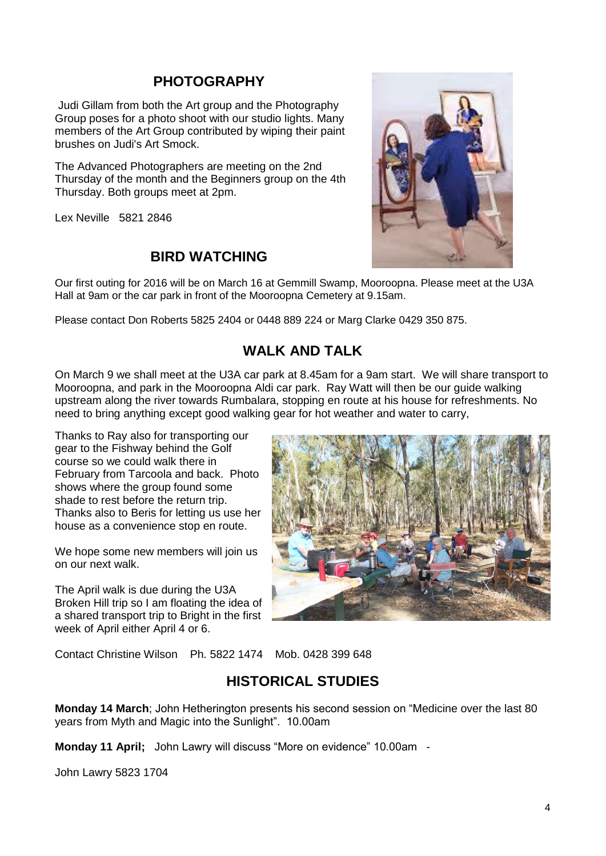#### **PHOTOGRAPHY**

Judi Gillam from both the Art group and the Photography Group poses for a photo shoot with our studio lights. Many members of the Art Group contributed by wiping their paint brushes on Judi's Art Smock.

The Advanced Photographers are meeting on the 2nd Thursday of the month and the Beginners group on the 4th Thursday. Both groups meet at 2pm.

Lex Neville 5821 2846

#### **BIRD WATCHING**



Our first outing for 2016 will be on March 16 at Gemmill Swamp, Mooroopna. Please meet at the U3A Hall at 9am or the car park in front of the Mooroopna Cemetery at 9.15am.

Please contact Don Roberts 5825 2404 or 0448 889 224 or Marg Clarke 0429 350 875.

### **WALK AND TALK**

On March 9 we shall meet at the U3A car park at 8.45am for a 9am start. We will share transport to Mooroopna, and park in the Mooroopna Aldi car park. Ray Watt will then be our guide walking upstream along the river towards Rumbalara, stopping en route at his house for refreshments. No need to bring anything except good walking gear for hot weather and water to carry,

Thanks to Ray also for transporting our gear to the Fishway behind the Golf course so we could walk there in February from Tarcoola and back. Photo shows where the group found some shade to rest before the return trip. Thanks also to Beris for letting us use her house as a convenience stop en route.

We hope some new members will join us on our next walk.

The April walk is due during the U3A Broken Hill trip so I am floating the idea of a shared transport trip to Bright in the first week of April either April 4 or 6.



Contact Christine Wilson Ph. 5822 1474 Mob. 0428 399 648

#### **HISTORICAL STUDIES**

**Monday 14 March**; John Hetherington presents his second session on "Medicine over the last 80 years from Myth and Magic into the Sunlight". 10.00am

**Monday 11 April;** John Lawry will discuss "More on evidence" 10.00am -

John Lawry 5823 1704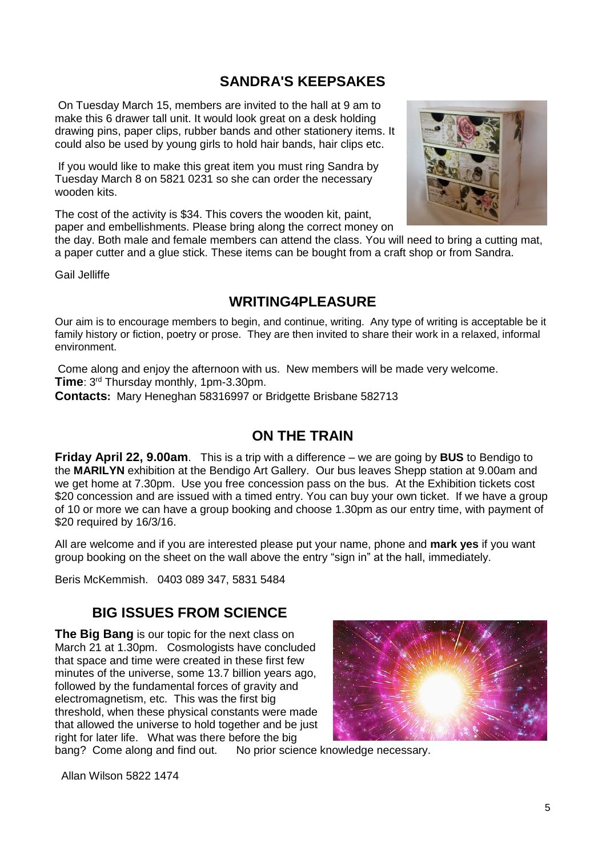#### **SANDRA'S KEEPSAKES**

On Tuesday March 15, members are invited to the hall at 9 am to make this 6 drawer tall unit. It would look great on a desk holding drawing pins, paper clips, rubber bands and other stationery items. It could also be used by young girls to hold hair bands, hair clips etc.

If you would like to make this great item you must ring Sandra by Tuesday March 8 on 5821 0231 so she can order the necessary wooden kits.

The cost of the activity is \$34. This covers the wooden kit, paint, paper and embellishments. Please bring along the correct money on

the day. Both male and female members can attend the class. You will need to bring a cutting mat, a paper cutter and a glue stick. These items can be bought from a craft shop or from Sandra.

Gail Jelliffe

#### **WRITING4PLEASURE**

Our aim is to encourage members to begin, and continue, writing. Any type of writing is acceptable be it family history or fiction, poetry or prose. They are then invited to share their work in a relaxed, informal environment.

Come along and enjoy the afternoon with us. New members will be made very welcome. **Time**: 3 rd Thursday monthly, 1pm-3.30pm. **Contacts:** Mary Heneghan 58316997 or Bridgette Brisbane 582713

#### **ON THE TRAIN**

**Friday April 22, 9.00am**. This is a trip with a difference – we are going by **BUS** to Bendigo to the **MARILYN** exhibition at the Bendigo Art Gallery. Our bus leaves Shepp station at 9.00am and we get home at 7.30pm. Use you free concession pass on the bus. At the Exhibition tickets cost \$20 concession and are issued with a timed entry. You can buy your own ticket. If we have a group of 10 or more we can have a group booking and choose 1.30pm as our entry time, with payment of \$20 required by 16/3/16.

All are welcome and if you are interested please put your name, phone and **mark yes** if you want group booking on the sheet on the wall above the entry "sign in" at the hall, immediately.

Beris McKemmish. 0403 089 347, 5831 5484

#### **BIG ISSUES FROM SCIENCE**

**The Big Bang** is our topic for the next class on March 21 at 1.30pm. Cosmologists have concluded that space and time were created in these first few minutes of the universe, some 13.7 billion years ago, followed by the fundamental forces of gravity and electromagnetism, etc. This was the first big threshold, when these physical constants were made that allowed the universe to hold together and be just right for later life. What was there before the big



bang? Come along and find out. No prior science knowledge necessary.

Allan Wilson 5822 1474